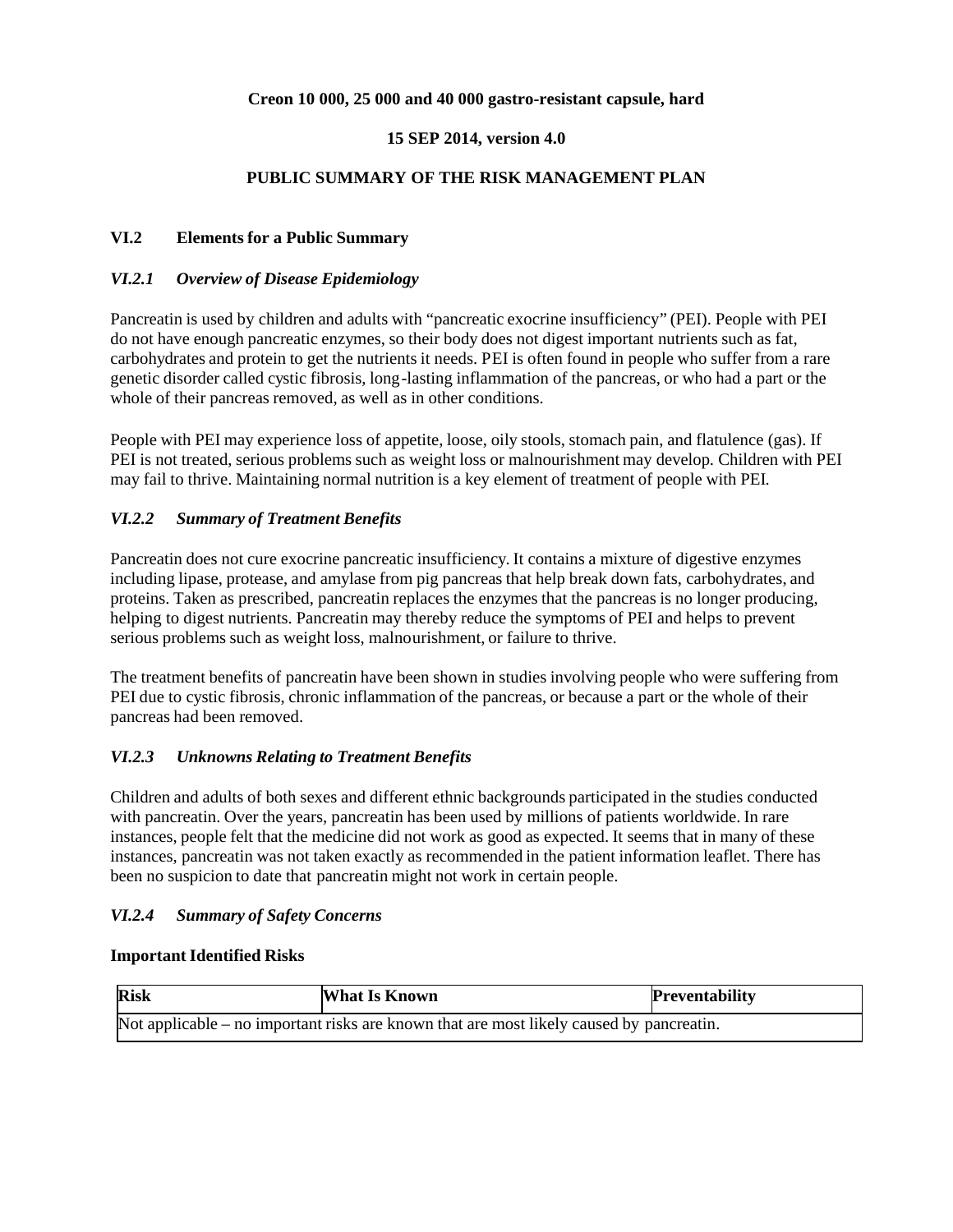## **Creon 10 000, 25 000 and 40 000 gastro-resistant capsule, hard**

### **15 SEP 2014, version 4.0**

## **PUBLIC SUMMARY OF THE RISK MANAGEMENT PLAN**

### **VI.2 Elements for a Public Summary**

### *VI.2.1 Overview of Disease Epidemiology*

Pancreatin is used by children and adults with "pancreatic exocrine insufficiency" (PEI). People with PEI do not have enough pancreatic enzymes, so their body does not digest important nutrients such as fat, carbohydrates and protein to get the nutrients it needs. PEI is often found in people who suffer from a rare genetic disorder called cystic fibrosis, long-lasting inflammation of the pancreas, or who had a part or the whole of their pancreas removed, as well as in other conditions.

People with PEI may experience loss of appetite, loose, oily stools, stomach pain, and flatulence (gas). If PEI is not treated, serious problems such as weight loss or malnourishment may develop. Children with PEI may fail to thrive. Maintaining normal nutrition is a key element of treatment of people with PEI.

## *VI.2.2 Summary of Treatment Benefits*

Pancreatin does not cure exocrine pancreatic insufficiency. It contains a mixture of digestive enzymes including lipase, protease, and amylase from pig pancreas that help break down fats, carbohydrates, and proteins. Taken as prescribed, pancreatin replaces the enzymes that the pancreas is no longer producing, helping to digest nutrients. Pancreatin may thereby reduce the symptoms of PEI and helps to prevent serious problems such as weight loss, malnourishment, or failure to thrive.

The treatment benefits of pancreatin have been shown in studies involving people who were suffering from PEI due to cystic fibrosis, chronic inflammation of the pancreas, or because a part or the whole of their pancreas had been removed.

### *VI.2.3 Unknowns Relating to Treatment Benefits*

Children and adults of both sexes and different ethnic backgrounds participated in the studies conducted with pancreatin. Over the years, pancreatin has been used by millions of patients worldwide. In rare instances, people felt that the medicine did not work as good as expected. It seems that in many of these instances, pancreatin was not taken exactly as recommended in the patient information leaflet. There has been no suspicion to date that pancreatin might not work in certain people.

# *VI.2.4 Summary of Safety Concerns*

### **Important Identified Risks**

| <b>Risk</b>                                                                              | What Is Known | <b>Preventability</b> |  |  |
|------------------------------------------------------------------------------------------|---------------|-----------------------|--|--|
| Not applicable – no important risks are known that are most likely caused by pancreatin. |               |                       |  |  |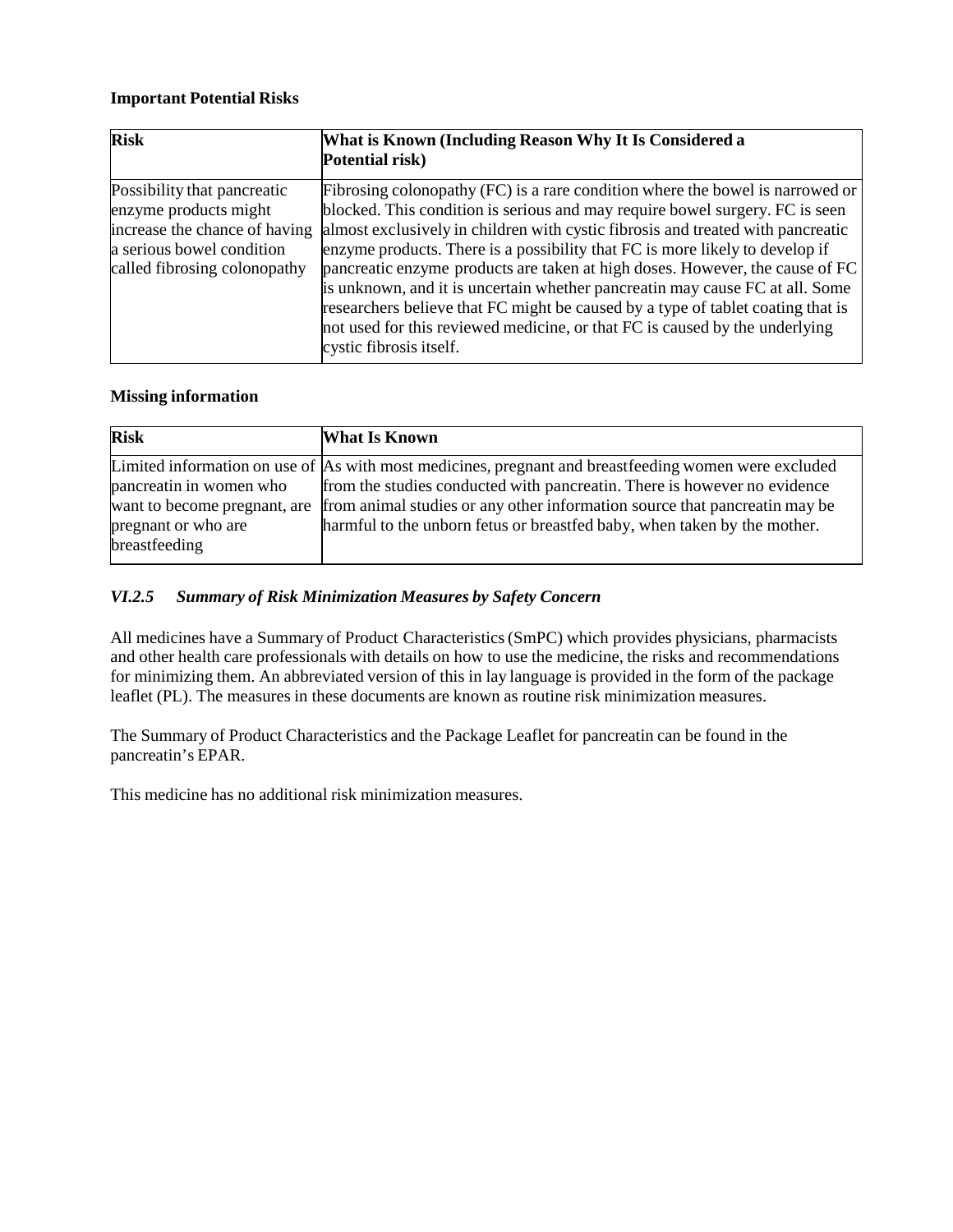## **Important Potential Risks**

| <b>Risk</b>                                                                                                                                        | What is Known (Including Reason Why It Is Considered a<br>Potential risk)                                                                                                                                                                                                                                                                                                                                                                                                                                                                                                                                                                                                                     |
|----------------------------------------------------------------------------------------------------------------------------------------------------|-----------------------------------------------------------------------------------------------------------------------------------------------------------------------------------------------------------------------------------------------------------------------------------------------------------------------------------------------------------------------------------------------------------------------------------------------------------------------------------------------------------------------------------------------------------------------------------------------------------------------------------------------------------------------------------------------|
| Possibility that pancreatic<br>enzyme products might<br>increase the chance of having<br>a serious bowel condition<br>called fibrosing colonopathy | Fibrosing colonopathy (FC) is a rare condition where the bowel is narrowed or<br>blocked. This condition is serious and may require bowel surgery. FC is seen<br>almost exclusively in children with cystic fibrosis and treated with pancreatic<br>enzyme products. There is a possibility that FC is more likely to develop if<br>pancreatic enzyme products are taken at high doses. However, the cause of FC<br>is unknown, and it is uncertain whether pancreatin may cause FC at all. Some<br>researchers believe that FC might be caused by a type of tablet coating that is<br>not used for this reviewed medicine, or that FC is caused by the underlying<br>cystic fibrosis itself. |

### **Missing information**

| <b>Risk</b>                                             | <b>What Is Known</b>                                                                                                                                                                                                                                           |
|---------------------------------------------------------|----------------------------------------------------------------------------------------------------------------------------------------------------------------------------------------------------------------------------------------------------------------|
| pancreatin in women who<br>want to become pregnant, are | Limited information on use of As with most medicines, pregnant and breastfeeding women were excluded<br>from the studies conducted with pancreatin. There is however no evidence<br>from animal studies or any other information source that pancreatin may be |
| pregnant or who are<br>breastfeeding                    | harmful to the unborn fetus or breastfed baby, when taken by the mother.                                                                                                                                                                                       |

# *VI.2.5 Summary of Risk Minimization Measures by Safety Concern*

All medicines have a Summary of Product Characteristics(SmPC) which provides physicians, pharmacists and other health care professionals with details on how to use the medicine, the risks and recommendations for minimizing them. An abbreviated version of this in lay language is provided in the form of the package leaflet (PL). The measures in these documents are known as routine risk minimization measures.

The Summary of Product Characteristics and the Package Leaflet for pancreatin can be found in the pancreatin's EPAR.

This medicine has no additional risk minimization measures.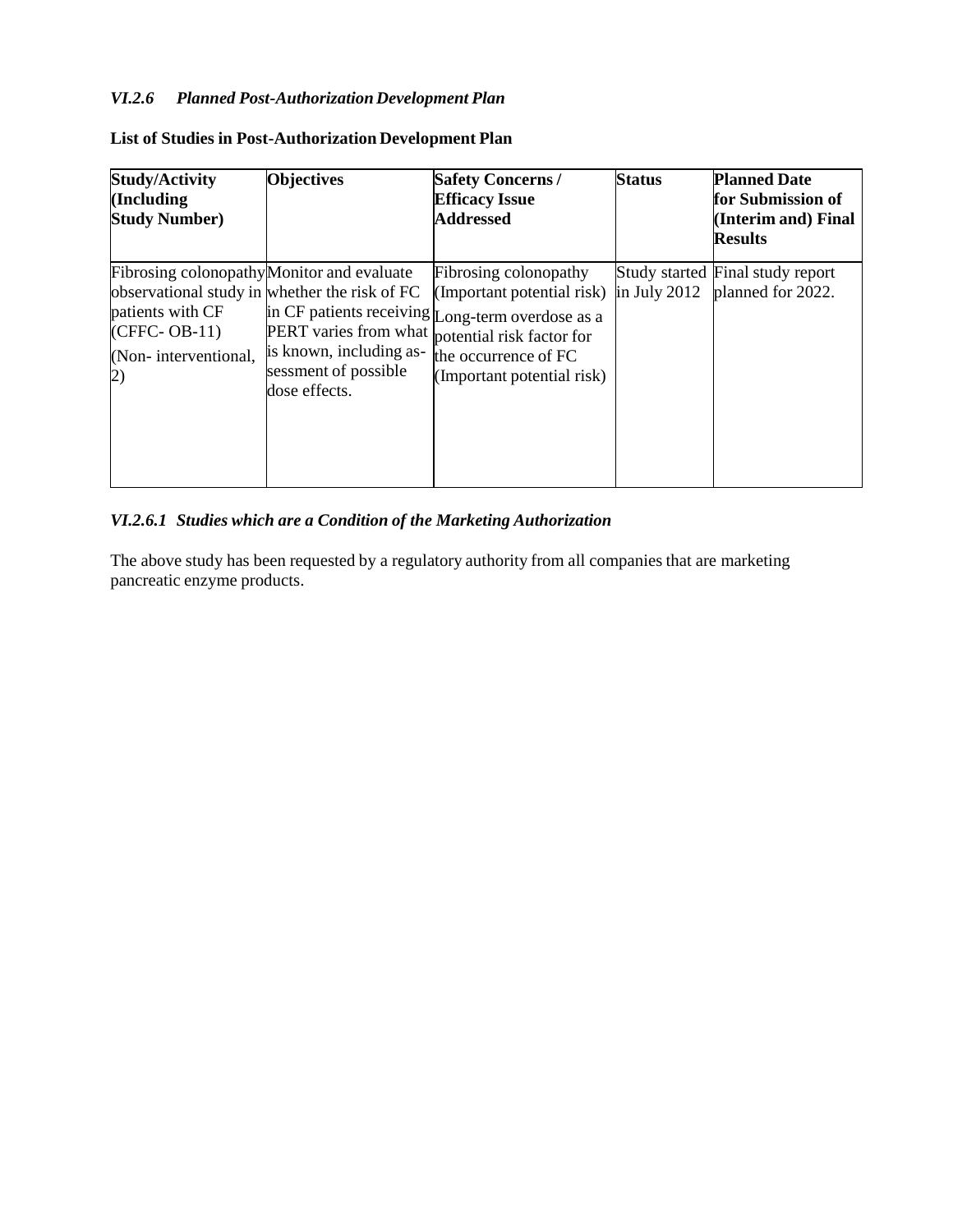# *VI.2.6 Planned Post-Authorization Development Plan*

| <b>Study/Activity</b><br>(Including<br><b>Study Number</b> )                                                                  | <b>Objectives</b>                                                                                                                          | <b>Safety Concerns/</b><br><b>Efficacy Issue</b><br><b>Addressed</b>                                                                                                                       | <b>Status</b> | <b>Planned Date</b><br>for Submission of<br>(Interim and) Final<br><b>Results</b> |
|-------------------------------------------------------------------------------------------------------------------------------|--------------------------------------------------------------------------------------------------------------------------------------------|--------------------------------------------------------------------------------------------------------------------------------------------------------------------------------------------|---------------|-----------------------------------------------------------------------------------|
| Fibrosing colonopathy Monitor and evaluate<br>patients with CF<br>$(CFFC-OB-11)$<br>(Non-interventional,<br>$\left( 2\right)$ | observational study in whether the risk of FC<br>PERT varies from what<br>is known, including as-<br>sessment of possible<br>dose effects. | Fibrosing colonopathy<br>(Important potential risk)<br>in CF patients receiving Long-term overdose as a<br>potential risk factor for<br>the occurrence of FC<br>(Important potential risk) | in July 2012  | Study started Final study report<br>planned for 2022.                             |

# **List of Studies in Post-Authorization Development Plan**

# *VI.2.6.1 Studies which are a Condition of the Marketing Authorization*

The above study has been requested by a regulatory authority from all companies that are marketing pancreatic enzyme products.